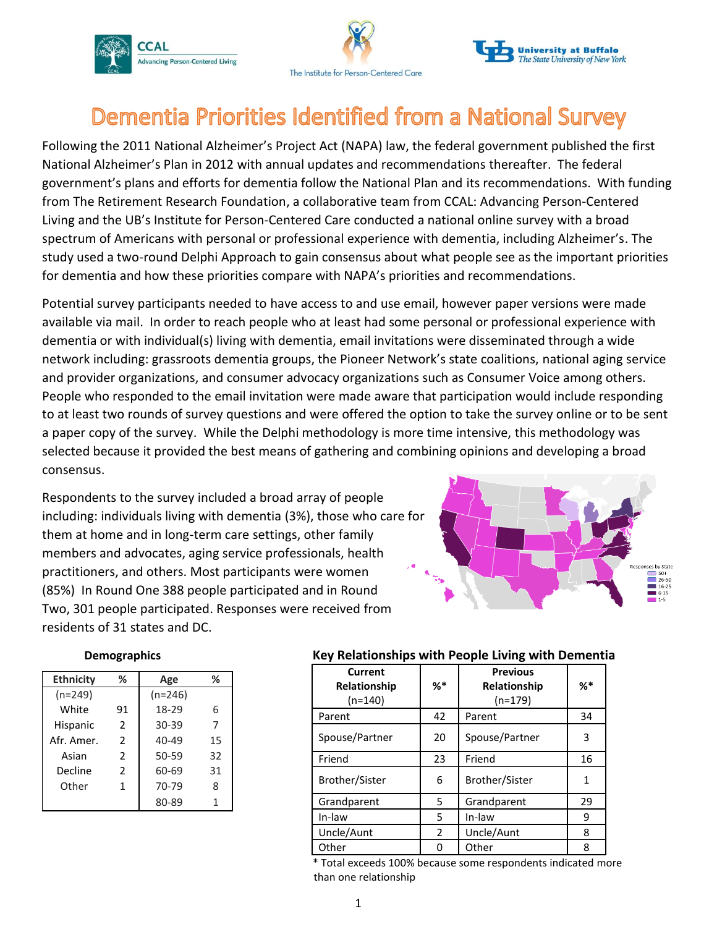





# Dementia Priorities Identified from a National Survey

Following the 2011 National Alzheimer's Project Act (NAPA) law, the federal government published the first National Alzheimer's Plan in 2012 with annual updates and recommendations thereafter. The federal government's plans and efforts for dementia follow the National Plan and its recommendations. With funding from The Retirement Research Foundation, a collaborative team from CCAL: Advancing Person-Centered Living and the UB's Institute for Person-Centered Care conducted a national online survey with a broad spectrum of Americans with personal or professional experience with dementia, including Alzheimer's. The study used a two-round Delphi Approach to gain consensus about what people see as the important priorities for dementia and how these priorities compare with NAPA's priorities and recommendations.

Potential survey participants needed to have access to and use email, however paper versions were made available via mail. In order to reach people who at least had some personal or professional experience with dementia or with individual(s) living with dementia, email invitations were disseminated through a wide network including: grassroots dementia groups, the Pioneer Network's state coalitions, national aging service and provider organizations, and consumer advocacy organizations such as Consumer Voice among others. People who responded to the email invitation were made aware that participation would include responding to at least two rounds of survey questions and were offered the option to take the survey online or to be sent a paper copy of the survey. While the Delphi methodology is more time intensive, this methodology was selected because it provided the best means of gathering and combining opinions and developing a broad consensus.

Respondents to the survey included a broad array of people including: individuals living with dementia (3%), those who care for them at home and in long-term care settings, other family members and advocates, aging service professionals, health practitioners, and others. Most participants were women (85%) In Round One 388 people participated and in Round Two, 301 people participated. Responses were received from residents of 31 states and DC.



| <b>Demographics</b> |  |  |  |
|---------------------|--|--|--|
|                     |  |  |  |

| <b>Ethnicity</b> | ℅              | Age       | ℅  |
|------------------|----------------|-----------|----|
| $(n=249)$        |                | $(n=246)$ |    |
| White            | 91             | 18-29     | 6  |
| <b>Hispanic</b>  | $\overline{2}$ | $30 - 39$ | 7  |
| Afr. Amer.       | $\mathcal{P}$  | $40 - 49$ | 15 |
| Asian            | $\mathcal{P}$  | 50-59     | 32 |
| Decline          | $\mathcal{P}$  | 60-69     | 31 |
| Other            | 1              | 70-79     | 8  |
|                  |                | 80-89     |    |

#### **Demographics Key Relationships with People Living with Dementia**

| Current<br>Relationship | $\% ^*$ | <b>Previous</b><br>Relationship | %* |
|-------------------------|---------|---------------------------------|----|
| $(n=140)$               |         | $(n=179)$                       |    |
| Parent                  | 42      | Parent                          | 34 |
| Spouse/Partner          | 20      | Spouse/Partner                  | 3  |
| Friend                  | 23      | Friend                          | 16 |
| Brother/Sister          | 6       | Brother/Sister                  | 1  |
| Grandparent             | 5.      | Grandparent                     | 29 |
| In-law                  | 5       | In-law                          | 9  |
| Uncle/Aunt              | 2       | Uncle/Aunt                      | 8  |
| Other                   |         | Other                           | 8  |

 \* Total exceeds 100% because some respondents indicated more than one relationship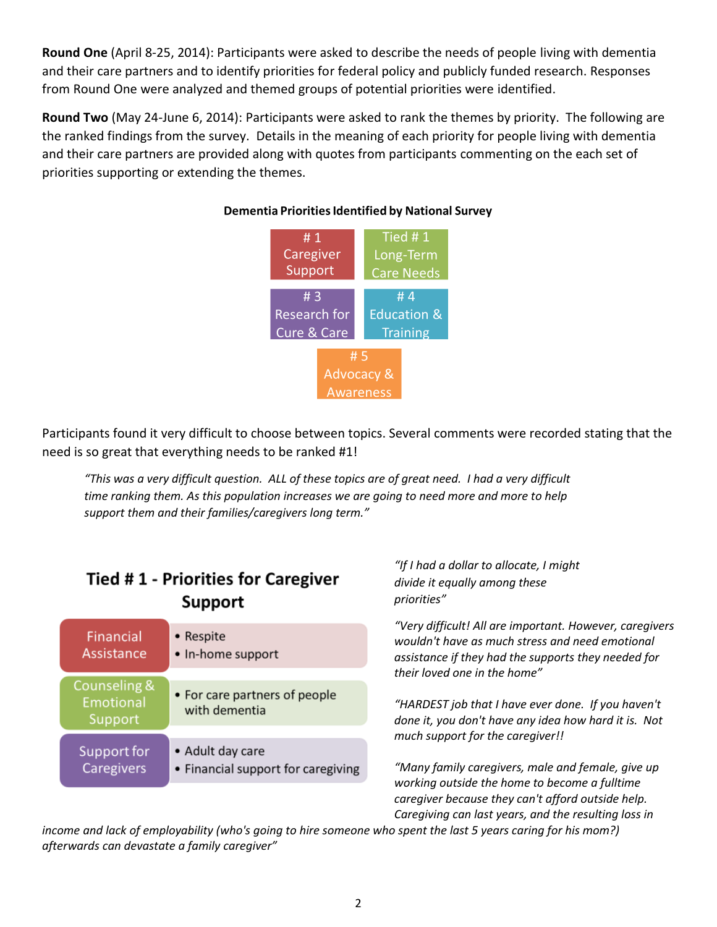**Round One** (April 8-25, 2014): Participants were asked to describe the needs of people living with dementia and their care partners and to identify priorities for federal policy and publicly funded research. Responses from Round One were analyzed and themed groups of potential priorities were identified.

**Round Two** (May 24-June 6, 2014): Participants were asked to rank the themes by priority. The following are the ranked findings from the survey. Details in the meaning of each priority for people living with dementia and their care partners are provided along with quotes from participants commenting on the each set of priorities supporting or extending the themes.



#### **Dementia Priorities Identified by National Survey**

Participants found it very difficult to choose between topics. Several comments were recorded stating that the need is so great that everything needs to be ranked #1!

*"This was a very difficult question. ALL of these topics are of great need. I had a very difficult time ranking them. As this population increases we are going to need more and more to help support them and their families/caregivers long term."*

# **Tied #1 - Priorities for Caregiver Support**

| Financial                            | • Respite                                      |
|--------------------------------------|------------------------------------------------|
| Assistance                           | • In-home support                              |
| Counseling &<br>Emotional<br>Support | • For care partners of people<br>with dementia |
| Support for                          | • Adult day care                               |
| Caregivers                           | • Financial support for caregiving             |

*"If I had a dollar to allocate, I might divide it equally among these priorities"*

*"Very difficult! All are important. However, caregivers wouldn't have as much stress and need emotional assistance if they had the supports they needed for their loved one in the home"*

*"HARDEST job that I have ever done. If you haven't done it, you don't have any idea how hard it is. Not much support for the caregiver!!*

*"Many family caregivers, male and female, give up working outside the home to become a fulltime caregiver because they can't afford outside help. Caregiving can last years, and the resulting loss in* 

*income and lack of employability (who's going to hire someone who spent the last 5 years caring for his mom?) afterwards can devastate a family caregiver"*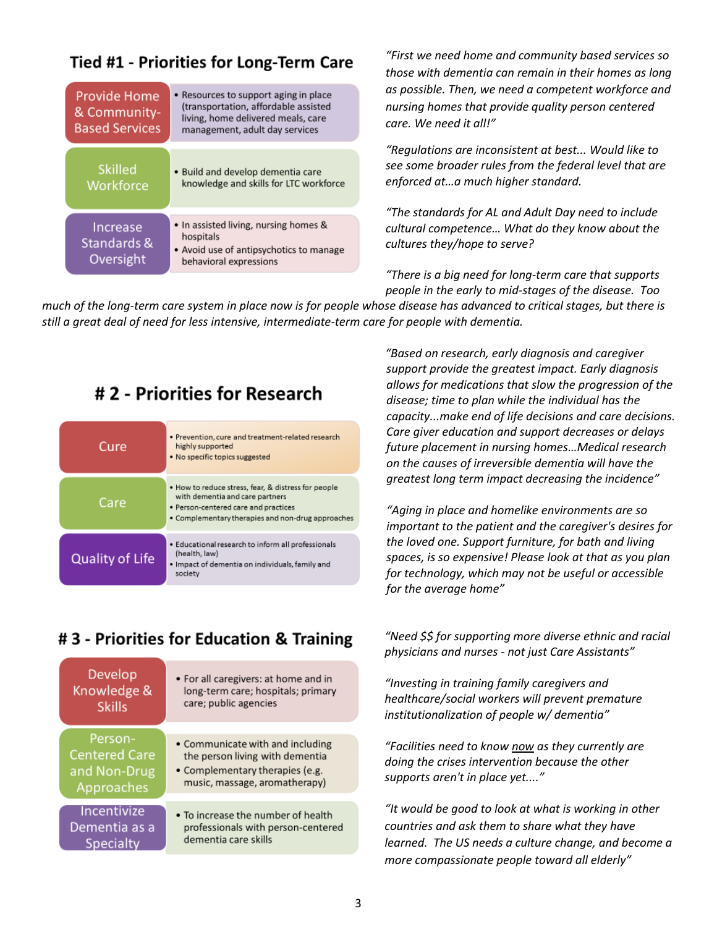### **Tied #1 - Priorities for Long-Term Care**

| <b>Provide Home</b><br>& Community-<br><b>Based Services</b> | • Resources to support aging in place<br>(transportation, affordable assisted<br>living, home delivered meals, care<br>management, adult day services |  |  |
|--------------------------------------------------------------|-------------------------------------------------------------------------------------------------------------------------------------------------------|--|--|
| <b>Skilled</b><br>Workforce                                  | • Build and develop dementia care<br>knowledge and skills for LTC workforce                                                                           |  |  |
| Increase<br>Standards &<br>Oversight                         | • In assisted living, nursing homes &<br>hospitals<br>• Avoid use of antipsychotics to manage<br>behavioral expressions                               |  |  |

*"First we need home and community based services so those with dementia can remain in their homes as long as possible. Then, we need a competent workforce and nursing homes that provide quality person centered care. We need it all!"*

*"Regulations are inconsistent at best... Would like to see some broader rules from the federal level that are enforced at…a much higher standard.*

*"The standards for AL and Adult Day need to include cultural competence… What do they know about the cultures they/hope to serve?*

*"There is a big need for long-term care that supports people in the early to mid-stages of the disease. Too* 

*much of the long-term care system in place now is for people whose disease has advanced to critical stages, but there is still a great deal of need for less intensive, intermediate-term care for people with dementia.*

### #2 - Priorities for Research

| Cure                   | · Prevention, cure and treatment-related research<br>highly supported<br>• No specific topics suggested                                                                             |
|------------------------|-------------------------------------------------------------------------------------------------------------------------------------------------------------------------------------|
| Care                   | . How to reduce stress, fear, & distress for people<br>with dementia and care partners<br>· Person-centered care and practices<br>• Complementary therapies and non-drug approaches |
| <b>Quality of Life</b> | · Educational research to inform all professionals<br>(health, law)<br>· Impact of dementia on individuals, family and<br>society                                                   |

 *"Based on research, early diagnosis and caregiver support provide the greatest impact. Early diagnosis allows for medications that slow the progression of the disease; time to plan while the individual has the capacity...make end of life decisions and care decisions. Care giver education and support decreases or delays future placement in nursing homes…Medical research on the causes of irreversible dementia will have the greatest long term impact decreasing the incidence"*

*"Aging in place and homelike environments are so important to the patient and the caregiver's desires for the loved one. Support furniture, for bath and living spaces, is so expensive! Please look at that as you plan for technology, which may not be useful or accessible for the average home"*

## #3 - Priorities for Education & Training

| Develop              | • For all caregivers: at home and in |
|----------------------|--------------------------------------|
| Knowledge &          | long-term care; hospitals; primary   |
| <b>Skills</b>        | care; public agencies                |
| Person-              | • Communicate with and including     |
| <b>Centered Care</b> | the person living with dementia      |
| and Non-Drug         | • Complementary therapies (e.g.      |
| Approaches           | music, massage, aromatherapy)        |
| Incentivize          | • To increase the number of health   |
| Dementia as a        | professionals with person-centered   |
| Specialty            | dementia care skills                 |

*"Need \$\$ for supporting more diverse ethnic and racial physicians and nurses - not just Care Assistants"*

*"Investing in training family caregivers and healthcare/social workers will prevent premature institutionalization of people w/ dementia"*

*"Facilities need to know now as they currently are doing the crises intervention because the other supports aren't in place yet...."*

*"It would be good to look at what is working in other countries and ask them to share what they have learned. The US needs a culture change, and become a more compassionate people toward all elderly"*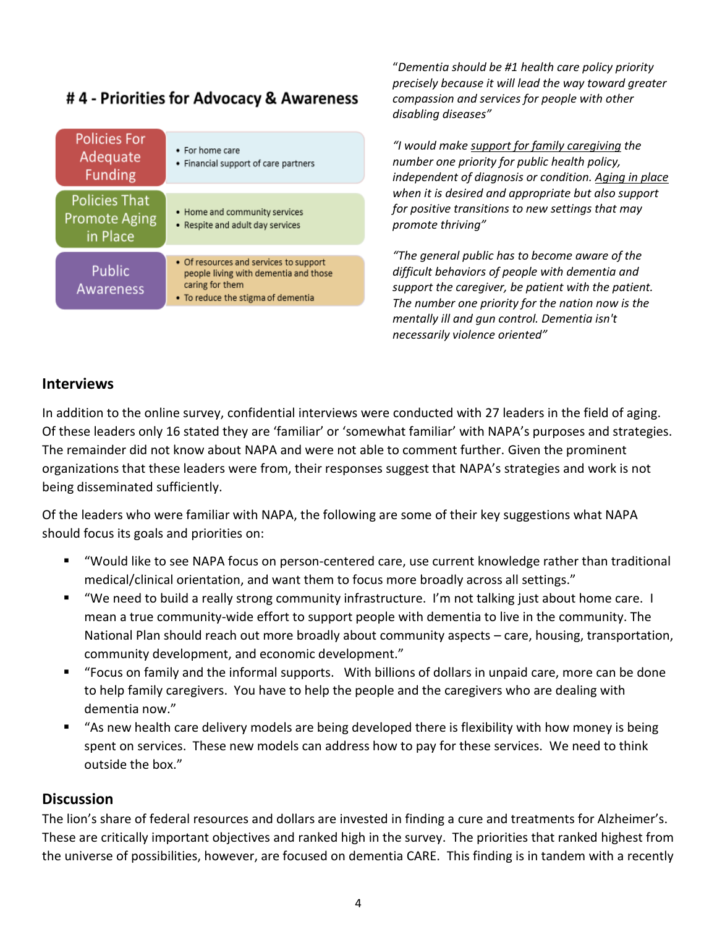### #4 - Priorities for Advocacy & Awareness

| <b>Policies For</b><br>Adequate<br><b>Funding</b>        | • For home care<br>• Financial support of care partners                                                                                  |
|----------------------------------------------------------|------------------------------------------------------------------------------------------------------------------------------------------|
| <b>Policies That</b><br><b>Promote Aging</b><br>in Place | • Home and community services<br>• Respite and adult day services                                                                        |
| Public<br>Awareness                                      | • Of resources and services to support<br>people living with dementia and those<br>caring for them<br>• To reduce the stigma of dementia |

"*Dementia should be #1 health care policy priority precisely because it will lead the way toward greater compassion and services for people with other disabling diseases"*

*"I would make support for family caregiving the number one priority for public health policy, independent of diagnosis or condition. Aging in place when it is desired and appropriate but also support for positive transitions to new settings that may promote thriving"*

*"The general public has to become aware of the difficult behaviors of people with dementia and support the caregiver, be patient with the patient. The number one priority for the nation now is the mentally ill and gun control. Dementia isn't necessarily violence oriented"*

#### **Interviews**

In addition to the online survey, confidential interviews were conducted with 27 leaders in the field of aging. Of these leaders only 16 stated they are 'familiar' or 'somewhat familiar' with NAPA's purposes and strategies. The remainder did not know about NAPA and were not able to comment further. Given the prominent organizations that these leaders were from, their responses suggest that NAPA's strategies and work is not being disseminated sufficiently.

Of the leaders who were familiar with NAPA, the following are some of their key suggestions what NAPA should focus its goals and priorities on:

- "Would like to see NAPA focus on person-centered care, use current knowledge rather than traditional medical/clinical orientation, and want them to focus more broadly across all settings."
- "We need to build a really strong community infrastructure. I'm not talking just about home care. I mean a true community-wide effort to support people with dementia to live in the community. The National Plan should reach out more broadly about community aspects – care, housing, transportation, community development, and economic development."
- "Focus on family and the informal supports. With billions of dollars in unpaid care, more can be done to help family caregivers. You have to help the people and the caregivers who are dealing with dementia now."
- "As new health care delivery models are being developed there is flexibility with how money is being spent on services. These new models can address how to pay for these services. We need to think outside the box."

#### **Discussion**

The lion's share of federal resources and dollars are invested in finding a cure and treatments for Alzheimer's. These are critically important objectives and ranked high in the survey. The priorities that ranked highest from the universe of possibilities, however, are focused on dementia CARE. This finding is in tandem with a recently